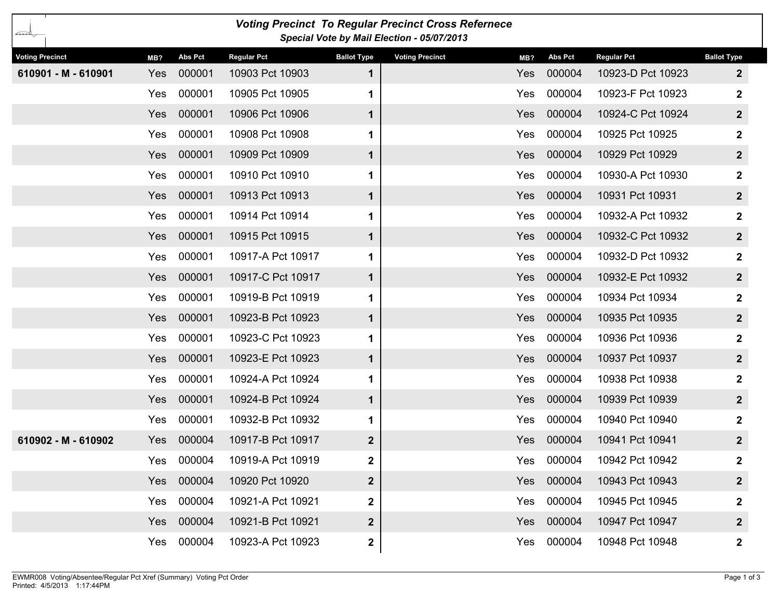| <b>Voting Precinct To Regular Precinct Cross Refernece</b><br>بحتنته<br>Special Vote by Mail Election - 05/07/2013 |            |                |                    |                         |                        |            |                |                    |                    |  |
|--------------------------------------------------------------------------------------------------------------------|------------|----------------|--------------------|-------------------------|------------------------|------------|----------------|--------------------|--------------------|--|
| <b>Voting Precinct</b>                                                                                             | MB?        | <b>Abs Pct</b> | <b>Regular Pct</b> | <b>Ballot Type</b>      | <b>Voting Precinct</b> | MB?        | <b>Abs Pct</b> | <b>Regular Pct</b> | <b>Ballot Type</b> |  |
| 610901 - M - 610901                                                                                                | Yes        | 000001         | 10903 Pct 10903    | $\mathbf 1$             |                        | Yes        | 000004         | 10923-D Pct 10923  | $\boldsymbol{2}$   |  |
|                                                                                                                    | Yes        | 000001         | 10905 Pct 10905    | 1                       |                        | Yes        | 000004         | 10923-F Pct 10923  | $\mathbf 2$        |  |
|                                                                                                                    | <b>Yes</b> | 000001         | 10906 Pct 10906    | $\mathbf 1$             |                        | <b>Yes</b> | 000004         | 10924-C Pct 10924  | $\overline{2}$     |  |
|                                                                                                                    | Yes        | 000001         | 10908 Pct 10908    | 1                       |                        | Yes        | 000004         | 10925 Pct 10925    | $\mathbf 2$        |  |
|                                                                                                                    | Yes        | 000001         | 10909 Pct 10909    | $\mathbf 1$             |                        | <b>Yes</b> | 000004         | 10929 Pct 10929    | $\overline{2}$     |  |
|                                                                                                                    | Yes        | 000001         | 10910 Pct 10910    | 1                       |                        | Yes        | 000004         | 10930-A Pct 10930  | $\mathbf{2}$       |  |
|                                                                                                                    | Yes        | 000001         | 10913 Pct 10913    | $\mathbf 1$             |                        | <b>Yes</b> | 000004         | 10931 Pct 10931    | $\overline{2}$     |  |
|                                                                                                                    | Yes        | 000001         | 10914 Pct 10914    | 1.                      |                        | Yes        | 000004         | 10932-A Pct 10932  | 2                  |  |
|                                                                                                                    | Yes        | 000001         | 10915 Pct 10915    | $\mathbf 1$             |                        | <b>Yes</b> | 000004         | 10932-C Pct 10932  | $\overline{2}$     |  |
|                                                                                                                    | Yes        | 000001         | 10917-A Pct 10917  | 1.                      |                        | Yes        | 000004         | 10932-D Pct 10932  | $\mathbf 2$        |  |
|                                                                                                                    | Yes        | 000001         | 10917-C Pct 10917  | $\mathbf 1$             |                        | <b>Yes</b> | 000004         | 10932-E Pct 10932  | $\overline{2}$     |  |
|                                                                                                                    | Yes        | 000001         | 10919-B Pct 10919  | 1.                      |                        | Yes        | 000004         | 10934 Pct 10934    | $\boldsymbol{2}$   |  |
|                                                                                                                    | Yes        | 000001         | 10923-B Pct 10923  | $\mathbf 1$             |                        | <b>Yes</b> | 000004         | 10935 Pct 10935    | $\overline{2}$     |  |
|                                                                                                                    | Yes        | 000001         | 10923-C Pct 10923  | $\mathbf 1$             |                        | Yes        | 000004         | 10936 Pct 10936    | $\mathbf{2}$       |  |
|                                                                                                                    | Yes        | 000001         | 10923-E Pct 10923  | $\mathbf 1$             |                        | Yes        | 000004         | 10937 Pct 10937    | $\overline{2}$     |  |
|                                                                                                                    | Yes        | 000001         | 10924-A Pct 10924  | 1                       |                        | Yes        | 000004         | 10938 Pct 10938    | $\mathbf 2$        |  |
|                                                                                                                    | Yes        | 000001         | 10924-B Pct 10924  | $\mathbf 1$             |                        | Yes        | 000004         | 10939 Pct 10939    | $\mathbf{2}$       |  |
|                                                                                                                    | Yes        | 000001         | 10932-B Pct 10932  | 1.                      |                        | Yes        | 000004         | 10940 Pct 10940    | $\mathbf{2}$       |  |
| 610902 - M - 610902                                                                                                | Yes        | 000004         | 10917-B Pct 10917  | $\overline{\mathbf{2}}$ |                        | Yes        | 000004         | 10941 Pct 10941    | $\mathbf{2}$       |  |
|                                                                                                                    | Yes        | 000004         | 10919-A Pct 10919  | $\mathbf 2$             |                        |            | Yes 000004     | 10942 Pct 10942    | $\mathbf 2$        |  |
|                                                                                                                    | Yes        | 000004         | 10920 Pct 10920    | $\overline{\mathbf{2}}$ |                        |            | Yes 000004     | 10943 Pct 10943    | $\boldsymbol{2}$   |  |
|                                                                                                                    | Yes        | 000004         | 10921-A Pct 10921  | $\mathbf{2}$            |                        | Yes        | 000004         | 10945 Pct 10945    | $\boldsymbol{2}$   |  |
|                                                                                                                    | Yes        | 000004         | 10921-B Pct 10921  | $\overline{\mathbf{2}}$ |                        |            | Yes 000004     | 10947 Pct 10947    | $\overline{2}$     |  |
|                                                                                                                    | Yes        | 000004         | 10923-A Pct 10923  | $\mathbf{2}$            |                        | Yes        | 000004         | 10948 Pct 10948    | $\mathbf{2}$       |  |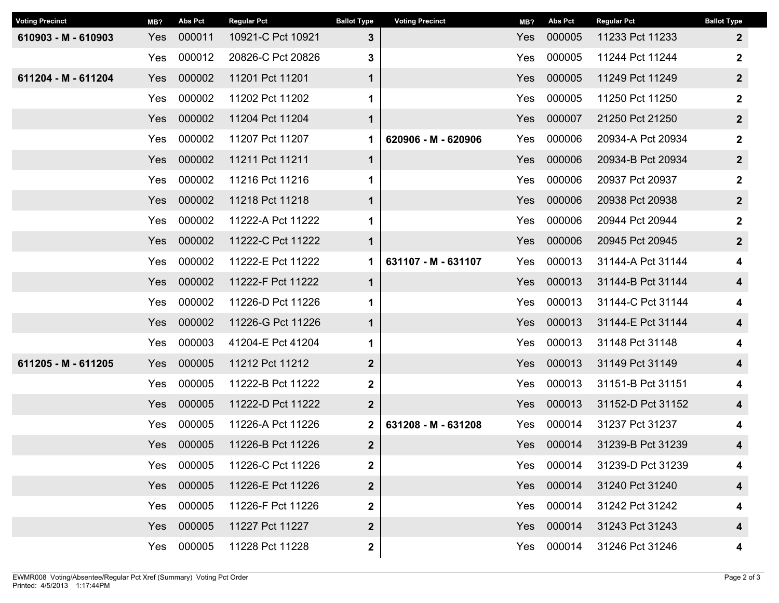| <b>Voting Precinct</b> | MB?        | <b>Abs Pct</b> | <b>Regular Pct</b> | <b>Ballot Type</b> | <b>Voting Precinct</b> | MB? | <b>Abs Pct</b> | <b>Regular Pct</b> | <b>Ballot Type</b> |
|------------------------|------------|----------------|--------------------|--------------------|------------------------|-----|----------------|--------------------|--------------------|
| 610903 - M - 610903    | Yes        | 000011         | 10921-C Pct 10921  | $3\phantom{a}$     |                        | Yes | 000005         | 11233 Pct 11233    | $\mathbf{2}$       |
|                        | Yes        | 000012         | 20826-C Pct 20826  | 3                  |                        | Yes | 000005         | 11244 Pct 11244    | $\mathbf 2$        |
| 611204 - M - 611204    | Yes        | 000002         | 11201 Pct 11201    | 1                  |                        | Yes | 000005         | 11249 Pct 11249    | $\boldsymbol{2}$   |
|                        | Yes        | 000002         | 11202 Pct 11202    | 1                  |                        | Yes | 000005         | 11250 Pct 11250    | $\boldsymbol{2}$   |
|                        | Yes        | 000002         | 11204 Pct 11204    | $\mathbf 1$        |                        | Yes | 000007         | 21250 Pct 21250    | $\mathbf{2}$       |
|                        | Yes        | 000002         | 11207 Pct 11207    | 1                  | 620906 - M - 620906    | Yes | 000006         | 20934-A Pct 20934  | $\mathbf 2$        |
|                        | Yes        | 000002         | 11211 Pct 11211    | $\mathbf 1$        |                        | Yes | 000006         | 20934-B Pct 20934  | $\mathbf{2}$       |
|                        | Yes        | 000002         | 11216 Pct 11216    | 1                  |                        | Yes | 000006         | 20937 Pct 20937    | $\mathbf 2$        |
|                        | Yes        | 000002         | 11218 Pct 11218    | $\mathbf 1$        |                        | Yes | 000006         | 20938 Pct 20938    | $\mathbf{2}$       |
|                        | Yes        | 000002         | 11222-A Pct 11222  | 1                  |                        | Yes | 000006         | 20944 Pct 20944    | $\mathbf{2}$       |
|                        | Yes        | 000002         | 11222-C Pct 11222  | $\mathbf 1$        |                        | Yes | 000006         | 20945 Pct 20945    | $\mathbf{2}$       |
|                        | Yes        | 000002         | 11222-E Pct 11222  | 1                  | 631107 - M - 631107    | Yes | 000013         | 31144-A Pct 31144  | 4                  |
|                        | Yes        | 000002         | 11222-F Pct 11222  | $\mathbf 1$        |                        | Yes | 000013         | 31144-B Pct 31144  | 4                  |
|                        | Yes        | 000002         | 11226-D Pct 11226  | 1                  |                        | Yes | 000013         | 31144-C Pct 31144  | 4                  |
|                        | Yes        | 000002         | 11226-G Pct 11226  | $\mathbf 1$        |                        | Yes | 000013         | 31144-E Pct 31144  | 4                  |
|                        | Yes        | 000003         | 41204-E Pct 41204  | 1                  |                        | Yes | 000013         | 31148 Pct 31148    | 4                  |
| 611205 - M - 611205    | Yes        | 000005         | 11212 Pct 11212    | $\boldsymbol{2}$   |                        | Yes | 000013         | 31149 Pct 31149    | 4                  |
|                        | Yes        | 000005         | 11222-B Pct 11222  | 2                  |                        | Yes | 000013         | 31151-B Pct 31151  | 4                  |
|                        | <b>Yes</b> | 000005         | 11222-D Pct 11222  | $\boldsymbol{2}$   |                        | Yes | 000013         | 31152-D Pct 31152  | 4                  |
|                        | Yes        | 000005         | 11226-A Pct 11226  | $\mathbf 2$        | 631208 - M - 631208    | Yes | 000014         | 31237 Pct 31237    | 4                  |
|                        | Yes        | 000005         | 11226-B Pct 11226  | 2 <sup>2</sup>     |                        | Yes | 000014         | 31239-B Pct 31239  | 4                  |
|                        | Yes        | 000005         | 11226-C Pct 11226  | 2                  |                        | Yes | 000014         | 31239-D Pct 31239  | 4                  |
|                        | Yes        | 000005         | 11226-E Pct 11226  | $\mathbf{2}$       |                        |     | Yes 000014     | 31240 Pct 31240    | 4                  |
|                        | Yes        | 000005         | 11226-F Pct 11226  | 2                  |                        | Yes | 000014         | 31242 Pct 31242    | 4                  |
|                        | Yes        | 000005         | 11227 Pct 11227    | $\mathbf{2}$       |                        |     | Yes 000014     | 31243 Pct 31243    | 4                  |
|                        | Yes        | 000005         | 11228 Pct 11228    | $\mathbf{2}$       |                        | Yes | 000014         | 31246 Pct 31246    | 4                  |
|                        |            |                |                    |                    |                        |     |                |                    |                    |